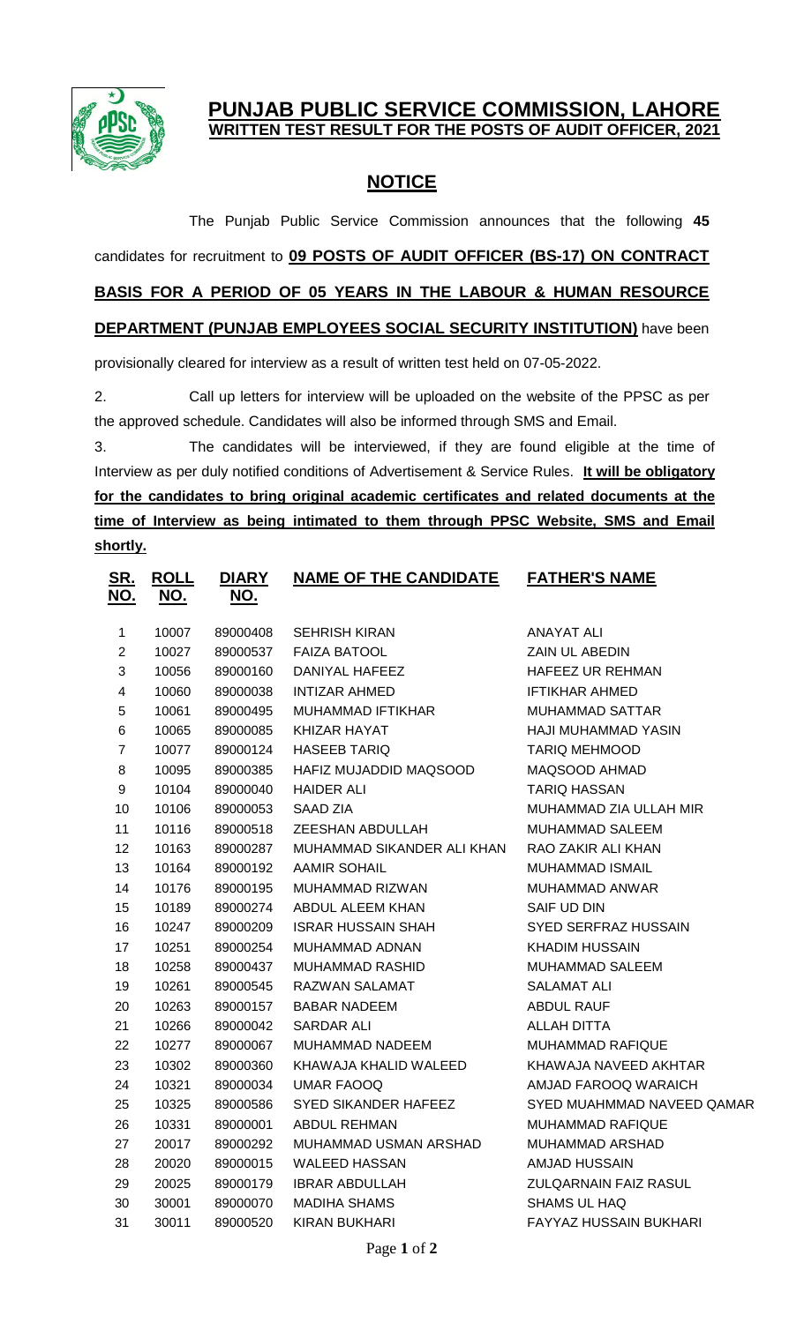

## **PUNJAB PUBLIC SERVICE COMMISSION, LAHORE WRITTEN TEST RESULT FOR THE POSTS OF AUDIT OFFICER, 2021**

## **NOTICE**

The Punjab Public Service Commission announces that the following **45** candidates for recruitment to **09 POSTS OF AUDIT OFFICER (BS-17) ON CONTRACT BASIS FOR A PERIOD OF 05 YEARS IN THE LABOUR & HUMAN RESOURCE DEPARTMENT (PUNJAB EMPLOYEES SOCIAL SECURITY INSTITUTION)** have been

provisionally cleared for interview as a result of written test held on 07-05-2022.

2. Call up letters for interview will be uploaded on the website of the PPSC as per the approved schedule. Candidates will also be informed through SMS and Email.

3. The candidates will be interviewed, if they are found eligible at the time of Interview as per duly notified conditions of Advertisement & Service Rules. **It will be obligatory for the candidates to bring original academic certificates and related documents at the time of Interview as being intimated to them through PPSC Website, SMS and Email shortly.**

| <u>SR.</u><br><u>NO.</u> | <u>ROLL</u><br><u>NO.</u> | <b>DIARY</b><br><u>NO.</u> | <b>NAME OF THE CANDIDATE</b> | <b>FATHER'S NAME</b>       |
|--------------------------|---------------------------|----------------------------|------------------------------|----------------------------|
| 1                        | 10007                     | 89000408                   | <b>SEHRISH KIRAN</b>         | <b>ANAYAT ALI</b>          |
| $\mathbf{2}$             | 10027                     | 89000537                   | <b>FAIZA BATOOL</b>          | ZAIN UL ABEDIN             |
| $\mathfrak{S}$           | 10056                     | 89000160                   | DANIYAL HAFEEZ               | <b>HAFEEZ UR REHMAN</b>    |
| $\overline{\mathbf{4}}$  | 10060                     | 89000038                   | INTIZAR AHMED                | <b>IFTIKHAR AHMED</b>      |
| 5                        | 10061                     | 89000495                   | MUHAMMAD IFTIKHAR            | <b>MUHAMMAD SATTAR</b>     |
| 6                        | 10065                     | 89000085                   | KHIZAR HAYAT                 | HAJI MUHAMMAD YASIN        |
| $\overline{7}$           | 10077                     | 89000124                   | <b>HASEEB TARIQ</b>          | TARIQ MEHMOOD              |
| $\,8\,$                  | 10095                     | 89000385                   | HAFIZ MUJADDID MAQSOOD       | MAQSOOD AHMAD              |
| $\boldsymbol{9}$         | 10104                     | 89000040                   | <b>HAIDER ALI</b>            | <b>TARIQ HASSAN</b>        |
| 10                       | 10106                     | 89000053                   | SAAD ZIA                     | MUHAMMAD ZIA ULLAH MIR     |
| 11                       | 10116                     | 89000518                   | ZEESHAN ABDULLAH             | <b>MUHAMMAD SALEEM</b>     |
| 12                       | 10163                     | 89000287                   | MUHAMMAD SIKANDER ALI KHAN   | RAO ZAKIR ALI KHAN         |
| 13                       | 10164                     | 89000192                   | AAMIR SOHAIL                 | MUHAMMAD ISMAIL            |
| 14                       | 10176                     | 89000195                   | MUHAMMAD RIZWAN              | MUHAMMAD ANWAR             |
| 15                       | 10189                     | 89000274                   | ABDUL ALEEM KHAN             | SAIF UD DIN                |
| 16                       | 10247                     | 89000209                   | <b>ISRAR HUSSAIN SHAH</b>    | SYED SERFRAZ HUSSAIN       |
| 17                       | 10251                     | 89000254                   | MUHAMMAD ADNAN               | KHADIM HUSSAIN             |
| 18                       | 10258                     | 89000437                   | MUHAMMAD RASHID              | MUHAMMAD SALEEM            |
| 19                       | 10261                     | 89000545                   | RAZWAN SALAMAT               | <b>SALAMAT ALI</b>         |
| 20                       | 10263                     | 89000157                   | <b>BABAR NADEEM</b>          | <b>ABDUL RAUF</b>          |
| 21                       | 10266                     | 89000042                   | SARDAR ALI                   | ALLAH DITTA                |
| 22                       | 10277                     | 89000067                   | MUHAMMAD NADEEM              | <b>MUHAMMAD RAFIQUE</b>    |
| 23                       | 10302                     | 89000360                   | KHAWAJA KHALID WALEED        | KHAWAJA NAVEED AKHTAR      |
| 24                       | 10321                     | 89000034                   | <b>UMAR FAOOQ</b>            | AMJAD FAROOQ WARAICH       |
| 25                       | 10325                     | 89000586                   | SYED SIKANDER HAFEEZ         | SYED MUAHMMAD NAVEED QAMAR |
| 26                       | 10331                     | 89000001                   | ABDUL REHMAN                 | <b>MUHAMMAD RAFIQUE</b>    |
| 27                       | 20017                     | 89000292                   | MUHAMMAD USMAN ARSHAD        | MUHAMMAD ARSHAD            |
| 28                       | 20020                     | 89000015                   | <b>WALEED HASSAN</b>         | <b>AMJAD HUSSAIN</b>       |
| 29                       | 20025                     | 89000179                   | <b>IBRAR ABDULLAH</b>        | ZULQARNAIN FAIZ RASUL      |
| 30                       | 30001                     | 89000070                   | MADIHA SHAMS                 | SHAMS UL HAQ               |
| 31                       | 30011                     | 89000520                   | KIRAN BUKHARI                | FAYYAZ HUSSAIN BUKHARI     |
|                          |                           |                            |                              |                            |